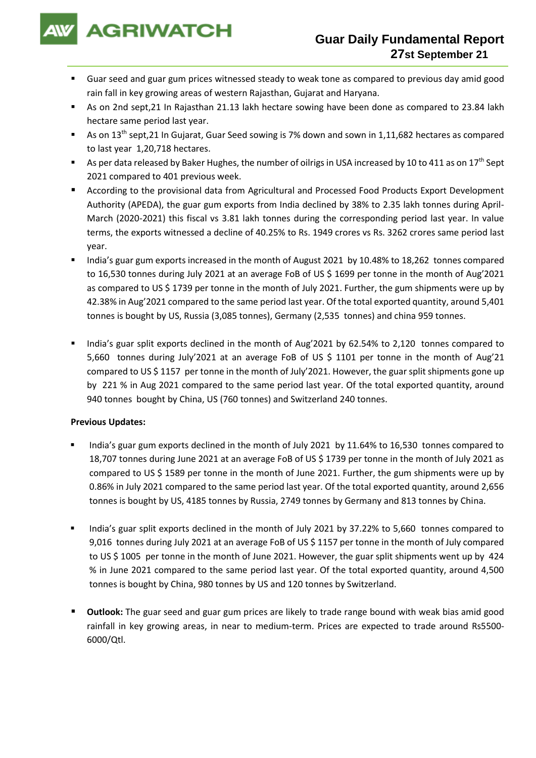

- Guar seed and guar gum prices witnessed steady to weak tone as compared to previous day amid good rain fall in key growing areas of western Rajasthan, Gujarat and Haryana.
- As on 2nd sept,21 In Rajasthan 21.13 lakh hectare sowing have been done as compared to 23.84 lakh hectare same period last year.
- As on 13<sup>th</sup> sept,21 In Gujarat, Guar Seed sowing is 7% down and sown in 1,11,682 hectares as compared to last year 1,20,718 hectares.
- As per data released by Baker Hughes, the number of oilrigs in USA increased by 10 to 411 as on 17<sup>th</sup> Sept 2021 compared to 401 previous week.
- According to the provisional data from Agricultural and Processed Food Products Export Development Authority (APEDA), the guar gum exports from India declined by 38% to 2.35 lakh tonnes during April-March (2020-2021) this fiscal vs 3.81 lakh tonnes during the corresponding period last year. In value terms, the exports witnessed a decline of 40.25% to Rs. 1949 crores vs Rs. 3262 crores same period last year.
- India's guar gum exports increased in the month of August 2021 by 10.48% to 18,262 tonnes compared to 16,530 tonnes during July 2021 at an average FoB of US \$ 1699 per tonne in the month of Aug'2021 as compared to US \$ 1739 per tonne in the month of July 2021. Further, the gum shipments were up by 42.38% in Aug'2021 compared to the same period last year. Of the total exported quantity, around 5,401 tonnes is bought by US, Russia (3,085 tonnes), Germany (2,535 tonnes) and china 959 tonnes.
- India's guar split exports declined in the month of Aug'2021 by 62.54% to 2,120 tonnes compared to 5,660 tonnes during July'2021 at an average FoB of US \$ 1101 per tonne in the month of Aug'21 compared to US \$ 1157 per tonne in the month of July'2021. However, the guar split shipments gone up by 221 % in Aug 2021 compared to the same period last year. Of the total exported quantity, around 940 tonnes bought by China, US (760 tonnes) and Switzerland 240 tonnes.

## **Previous Updates:**

- India's guar gum exports declined in the month of July 2021 by 11.64% to 16,530 tonnes compared to 18,707 tonnes during June 2021 at an average FoB of US \$ 1739 per tonne in the month of July 2021 as compared to US \$ 1589 per tonne in the month of June 2021. Further, the gum shipments were up by 0.86% in July 2021 compared to the same period last year. Of the total exported quantity, around 2,656 tonnes is bought by US, 4185 tonnes by Russia, 2749 tonnes by Germany and 813 tonnes by China.
- India's guar split exports declined in the month of July 2021 by 37.22% to 5,660 tonnes compared to 9,016 tonnes during July 2021 at an average FoB of US \$ 1157 per tonne in the month of July compared to US \$ 1005 per tonne in the month of June 2021. However, the guar split shipments went up by 424 % in June 2021 compared to the same period last year. Of the total exported quantity, around 4,500 tonnes is bought by China, 980 tonnes by US and 120 tonnes by Switzerland.
- **Outlook:** The guar seed and guar gum prices are likely to trade range bound with weak bias amid good rainfall in key growing areas, in near to medium-term. Prices are expected to trade around Rs5500- 6000/Qtl.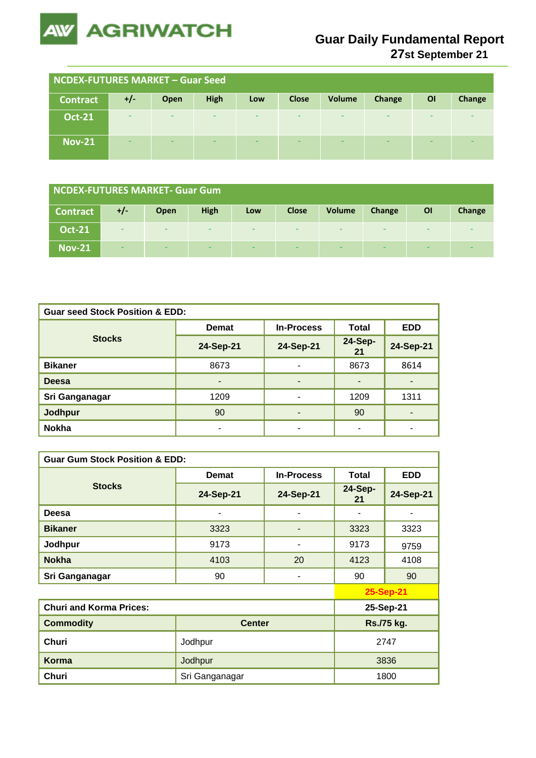

## **Guar Daily Fundamental Report**

**27st September 21**

| <b>NCDEX-FUTURES MARKET - Guar Seed</b> |                          |      |      |     |              |               |        |           |        |
|-----------------------------------------|--------------------------|------|------|-----|--------------|---------------|--------|-----------|--------|
| <b>Contract</b>                         | $+/-$                    | Open | High | Low | <b>Close</b> | <b>Volume</b> | Change | <b>OI</b> | Change |
| <b>Oct-21</b>                           | -                        | -    | -    | -   | -            | -             | -      | -         |        |
| <b>Nov-21</b>                           | $\overline{\phantom{0}}$ | -    |      | -   |              | -             | -      | -         |        |

| <b>NCDEX-FUTURES MARKET- Guar Gum</b> |                          |      |      |                          |                          |               |        |           |        |
|---------------------------------------|--------------------------|------|------|--------------------------|--------------------------|---------------|--------|-----------|--------|
| <b>Contract</b>                       | +/                       | Open | High | Low                      | <b>Close</b>             | <b>Volume</b> | Change | <b>OI</b> | Change |
| <b>Oct-21</b>                         | $\overline{\phantom{a}}$ | -    | -    | -                        | $\overline{\phantom{0}}$ | -             | -      |           | -      |
| <b>Nov-21</b>                         | $\overline{\phantom{a}}$ | -    | -    | $\overline{\phantom{a}}$ | -                        | -             | -      |           | -      |

| <b>Guar seed Stock Position &amp; EDD:</b> |                          |                   |                |                |  |  |  |
|--------------------------------------------|--------------------------|-------------------|----------------|----------------|--|--|--|
|                                            | <b>Demat</b>             | <b>In-Process</b> | <b>Total</b>   | <b>EDD</b>     |  |  |  |
| <b>Stocks</b>                              | 24-Sep-21                | 24-Sep-21         | 24-Sep-<br>21  | 24-Sep-21      |  |  |  |
| <b>Bikaner</b>                             | 8673                     | ٠                 | 8673           | 8614           |  |  |  |
| <b>Deesa</b>                               | $\overline{\phantom{a}}$ | ٠                 | $\blacksquare$ |                |  |  |  |
| Sri Ganganagar                             | 1209                     | ۰                 | 1209           | 1311           |  |  |  |
| Jodhpur                                    | 90                       | ٠                 | 90             | $\blacksquare$ |  |  |  |
| <b>Nokha</b>                               |                          | ۰                 | -              |                |  |  |  |

| <b>Guar Gum Stock Position &amp; EDD:</b> |                |                   |                      |            |  |  |  |
|-------------------------------------------|----------------|-------------------|----------------------|------------|--|--|--|
|                                           | <b>Demat</b>   | <b>In-Process</b> | <b>Total</b>         | <b>EDD</b> |  |  |  |
| <b>Stocks</b>                             | 24-Sep-21      | 24-Sep-21         | <b>24-Sep-</b><br>21 | 24-Sep-21  |  |  |  |
| Deesa                                     |                |                   |                      |            |  |  |  |
| <b>Bikaner</b>                            | 3323           |                   | 3323                 | 3323       |  |  |  |
| Jodhpur                                   | 9173           | ۰                 | 9173                 | 9759       |  |  |  |
| <b>Nokha</b>                              | 4103           | 20                | 4123                 | 4108       |  |  |  |
| Sri Ganganagar                            | 90             | ۰                 | 90                   | 90         |  |  |  |
|                                           |                |                   |                      | 25-Sep-21  |  |  |  |
| <b>Churi and Korma Prices:</b>            |                | 25-Sep-21         |                      |            |  |  |  |
| <b>Commodity</b>                          | <b>Center</b>  |                   | Rs./75 kg.           |            |  |  |  |
| Churi                                     | Jodhpur        | 2747              |                      |            |  |  |  |
| <b>Korma</b>                              | Jodhpur        | 3836              |                      |            |  |  |  |
| Churi                                     | Sri Ganganagar |                   | 1800                 |            |  |  |  |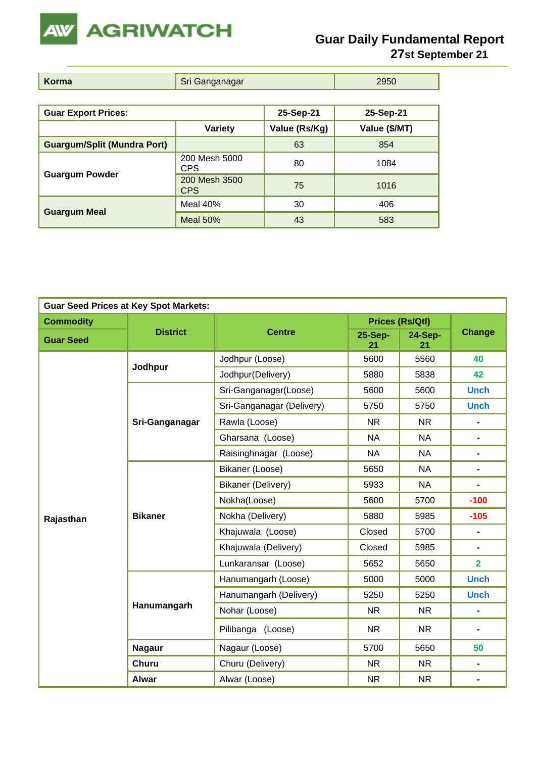

| Korma<br>Sri Ganganagar<br>2950 |  |
|---------------------------------|--|
|---------------------------------|--|

| <b>Guar Export Prices:</b>         |                                   | 25-Sep-21     | 25-Sep-21     |  |
|------------------------------------|-----------------------------------|---------------|---------------|--|
|                                    | <b>Variety</b>                    | Value (Rs/Kg) | Value (\$/MT) |  |
| <b>Guargum/Split (Mundra Port)</b> |                                   | 63            | 854           |  |
|                                    | 200 Mesh 5000<br>80<br><b>CPS</b> |               | 1084          |  |
| <b>Guargum Powder</b>              | 200 Mesh 3500<br><b>CPS</b>       | 75            | 1016          |  |
|                                    | Meal $40%$                        | 30            | 406           |  |
| <b>Guargum Meal</b>                | Meal $50%$                        | 43            | 583           |  |

| <b>Guar Seed Prices at Key Spot Markets:</b> |                 |                           |               |                        |                              |  |  |
|----------------------------------------------|-----------------|---------------------------|---------------|------------------------|------------------------------|--|--|
| <b>Commodity</b>                             |                 |                           |               | <b>Prices (Rs/Qtl)</b> |                              |  |  |
| <b>Guar Seed</b>                             | <b>District</b> | <b>Centre</b>             | 25-Sep-<br>21 | 24-Sep-<br>21          | <b>Change</b>                |  |  |
|                                              | Jodhpur         | Jodhpur (Loose)           | 5600          | 5560                   | 40                           |  |  |
|                                              |                 | Jodhpur(Delivery)         | 5880          | 5838                   | 42                           |  |  |
|                                              |                 | Sri-Ganganagar(Loose)     | 5600          | 5600                   | <b>Unch</b>                  |  |  |
|                                              |                 | Sri-Ganganagar (Delivery) | 5750          | 5750                   | <b>Unch</b>                  |  |  |
|                                              | Sri-Ganganagar  | Rawla (Loose)             | <b>NR</b>     | <b>NR</b>              | $\blacksquare$               |  |  |
|                                              |                 | Gharsana (Loose)          | <b>NA</b>     | <b>NA</b>              | $\blacksquare$               |  |  |
|                                              |                 | Raisinghnagar (Loose)     | <b>NA</b>     | <b>NA</b>              | ۰                            |  |  |
|                                              | <b>Bikaner</b>  | Bikaner (Loose)           | 5650          | <b>NA</b>              | $\blacksquare$               |  |  |
|                                              |                 | Bikaner (Delivery)        | 5933          | <b>NA</b>              | $\blacksquare$               |  |  |
|                                              |                 | Nokha(Loose)              | 5600          | 5700                   | $-100$                       |  |  |
| Rajasthan                                    |                 | Nokha (Delivery)          | 5880          | 5985                   | $-105$                       |  |  |
|                                              |                 | Khajuwala (Loose)         | Closed        | 5700                   | $\blacksquare$               |  |  |
|                                              |                 | Khajuwala (Delivery)      | Closed        | 5985                   | $\blacksquare$               |  |  |
|                                              |                 | Lunkaransar (Loose)       | 5652          | 5650                   | $\overline{2}$               |  |  |
|                                              |                 | Hanumangarh (Loose)       | 5000          | 5000                   | <b>Unch</b>                  |  |  |
|                                              |                 | Hanumangarh (Delivery)    | 5250          | 5250                   | <b>Unch</b>                  |  |  |
|                                              | Hanumangarh     | Nohar (Loose)             | <b>NR</b>     | NR.                    | $\qquad \qquad \blacksquare$ |  |  |
|                                              |                 | Pilibanga (Loose)         | <b>NR</b>     | <b>NR</b>              | $\blacksquare$               |  |  |
|                                              | <b>Nagaur</b>   | Nagaur (Loose)            | 5700          | 5650                   | 50                           |  |  |
|                                              | <b>Churu</b>    | Churu (Delivery)          | <b>NR</b>     | <b>NR</b>              | $\blacksquare$               |  |  |
|                                              | <b>Alwar</b>    | Alwar (Loose)             | <b>NR</b>     | <b>NR</b>              | $\blacksquare$               |  |  |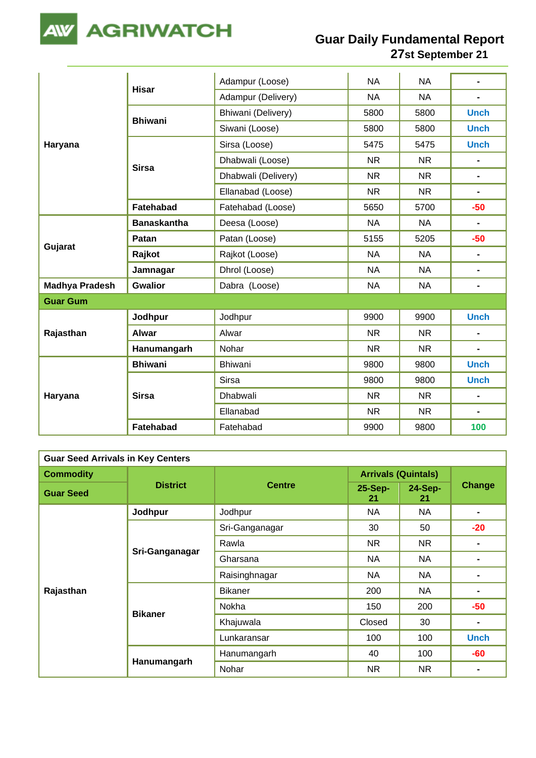

|                       | <b>Hisar</b>       | Adampur (Loose)     | <b>NA</b> | <b>NA</b> | $\overline{a}$ |
|-----------------------|--------------------|---------------------|-----------|-----------|----------------|
|                       |                    | Adampur (Delivery)  | <b>NA</b> | <b>NA</b> | $\frac{1}{2}$  |
|                       | <b>Bhiwani</b>     | Bhiwani (Delivery)  | 5800      | 5800      | <b>Unch</b>    |
|                       |                    | Siwani (Loose)      | 5800      | 5800      | <b>Unch</b>    |
| Haryana               |                    | Sirsa (Loose)       | 5475      | 5475      | <b>Unch</b>    |
|                       | <b>Sirsa</b>       | Dhabwali (Loose)    | <b>NR</b> | <b>NR</b> | $\overline{a}$ |
|                       |                    | Dhabwali (Delivery) | <b>NR</b> | <b>NR</b> | $\blacksquare$ |
|                       |                    | Ellanabad (Loose)   | <b>NR</b> | <b>NR</b> | $\blacksquare$ |
|                       | Fatehabad          | Fatehabad (Loose)   | 5650      | 5700      | $-50$          |
|                       | <b>Banaskantha</b> | Deesa (Loose)       | <b>NA</b> | <b>NA</b> | $\blacksquare$ |
|                       | Patan              | Patan (Loose)       | 5155      | 5205      | $-50$          |
| Gujarat               | Rajkot             | Rajkot (Loose)      | <b>NA</b> | <b>NA</b> | $\blacksquare$ |
|                       | Jamnagar           | Dhrol (Loose)       | <b>NA</b> | <b>NA</b> | $\blacksquare$ |
| <b>Madhya Pradesh</b> | <b>Gwalior</b>     | Dabra (Loose)       | <b>NA</b> | <b>NA</b> | $\blacksquare$ |
| <b>Guar Gum</b>       |                    |                     |           |           |                |
|                       | Jodhpur            | Jodhpur             | 9900      | 9900      | <b>Unch</b>    |
| Rajasthan             | <b>Alwar</b>       | Alwar               | <b>NR</b> | <b>NR</b> | $\blacksquare$ |
|                       | Hanumangarh        | Nohar               | <b>NR</b> | NR.       | $\blacksquare$ |
|                       | <b>Bhiwani</b>     | Bhiwani             | 9800      | 9800      | <b>Unch</b>    |
| Haryana               |                    | <b>Sirsa</b>        | 9800      | 9800      | <b>Unch</b>    |
|                       | <b>Sirsa</b>       | Dhabwali            | <b>NR</b> | <b>NR</b> | $\blacksquare$ |
|                       |                    | Ellanabad           | <b>NR</b> | <b>NR</b> | $\blacksquare$ |
|                       | <b>Fatehabad</b>   | Fatehabad           | 9900      | 9800      | 100            |

| <b>Guar Seed Arrivals in Key Centers</b> |                 |                |                            |               |                |  |  |
|------------------------------------------|-----------------|----------------|----------------------------|---------------|----------------|--|--|
| <b>Commodity</b>                         | <b>District</b> | <b>Centre</b>  | <b>Arrivals (Quintals)</b> |               |                |  |  |
| <b>Guar Seed</b>                         |                 |                | 25-Sep-<br>21              | 24-Sep-<br>21 | Change         |  |  |
|                                          | Jodhpur         | Jodhpur        | NA                         | <b>NA</b>     |                |  |  |
|                                          |                 | Sri-Ganganagar | 30                         | 50            | $-20$          |  |  |
|                                          | Sri-Ganganagar  | Rawla          | NR                         | <b>NR</b>     | ۰              |  |  |
|                                          |                 | Gharsana       | <b>NA</b>                  | <b>NA</b>     |                |  |  |
|                                          |                 | Raisinghnagar  | NA                         | <b>NA</b>     |                |  |  |
| Rajasthan                                |                 | <b>Bikaner</b> | 200                        | <b>NA</b>     |                |  |  |
|                                          |                 | Nokha          | 150                        | 200           | $-50$          |  |  |
|                                          | <b>Bikaner</b>  | Khajuwala      | Closed                     | 30            | $\blacksquare$ |  |  |
|                                          |                 | Lunkaransar    | 100                        | 100           | <b>Unch</b>    |  |  |
|                                          | Hanumangarh     | Hanumangarh    | 40                         | 100           | -60            |  |  |
|                                          |                 | Nohar          | NR                         | <b>NR</b>     |                |  |  |